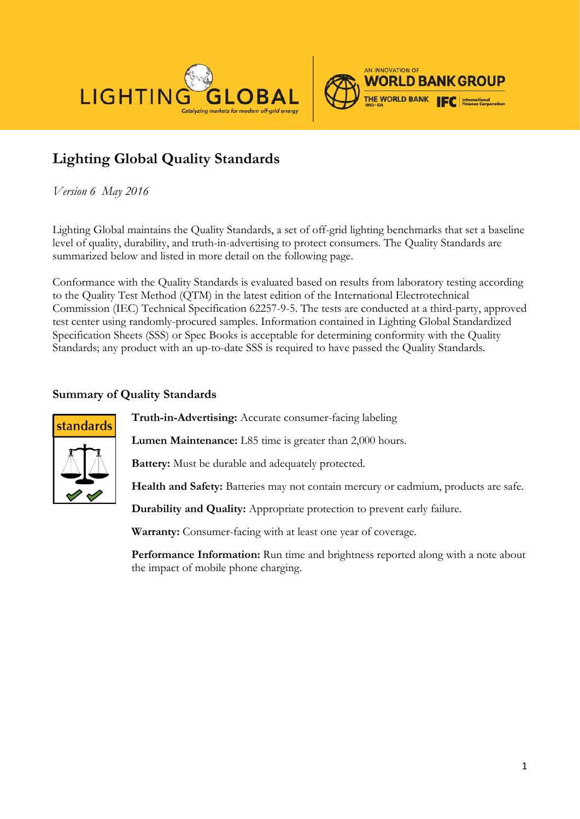



## **Lighting Global Quality Standards**

*Version 6 May 2016*

Lighting Global maintains the Quality Standards, a set of off-grid lighting benchmarks that set a baseline level of quality, durability, and truth-in-advertising to protect consumers. The Quality Standards are summarized below and listed in more detail on the following page.

Conformance with the Quality Standards is evaluated based on results from laboratory testing according to the Quality Test Method (QTM) in the latest edition of the International Electrotechnical Commission (IEC) Technical Specification 62257-9-5. The tests are conducted at a third-party, approved test center using randomly-procured samples. Information contained in Lighting Global Standardized Specification Sheets (SSS) or Spec Books is acceptable for determining conformity with the Quality Standards; any product with an up-to-date SSS is required to have passed the Quality Standards.

## **Summary of Quality Standards**



**Truth-in-Advertising:** Accurate consumer-facing labeling

**Lumen Maintenance:** L85 time is greater than 2,000 hours.

**Battery:** Must be durable and adequately protected.

**Health and Safety:** Batteries may not contain mercury or cadmium, products are safe.

**Durability and Quality:** Appropriate protection to prevent early failure.

**Warranty:** Consumer-facing with at least one year of coverage.

**Performance Information:** Run time and brightness reported along with a note about the impact of mobile phone charging.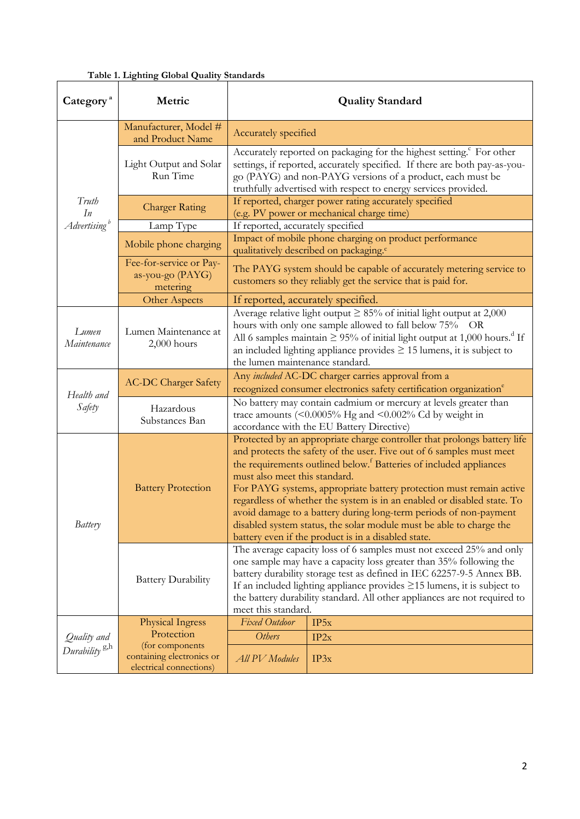|  |  | Table 1. Lighting Global Quality Standards |
|--|--|--------------------------------------------|
|  |  |                                            |

| Category <sup>a</sup>     | Metric                                                                  | <b>Quality Standard</b>                                                                                                                                                                                                                                                                                                                                                                                                                                                                                                                                                                                                  |      |  |
|---------------------------|-------------------------------------------------------------------------|--------------------------------------------------------------------------------------------------------------------------------------------------------------------------------------------------------------------------------------------------------------------------------------------------------------------------------------------------------------------------------------------------------------------------------------------------------------------------------------------------------------------------------------------------------------------------------------------------------------------------|------|--|
|                           | Manufacturer, Model #<br>and Product Name                               | Accurately specified                                                                                                                                                                                                                                                                                                                                                                                                                                                                                                                                                                                                     |      |  |
|                           | Light Output and Solar<br>Run Time                                      | Accurately reported on packaging for the highest setting. <sup>c</sup> For other<br>settings, if reported, accurately specified. If there are both pay-as-you-<br>go (PAYG) and non-PAYG versions of a product, each must be<br>truthfully advertised with respect to energy services provided.                                                                                                                                                                                                                                                                                                                          |      |  |
| Truth<br>In               | <b>Charger Rating</b>                                                   | If reported, charger power rating accurately specified<br>(e.g. PV power or mechanical charge time)                                                                                                                                                                                                                                                                                                                                                                                                                                                                                                                      |      |  |
| Advertising <sup>b</sup>  | Lamp Type                                                               | If reported, accurately specified                                                                                                                                                                                                                                                                                                                                                                                                                                                                                                                                                                                        |      |  |
|                           | Mobile phone charging                                                   | Impact of mobile phone charging on product performance<br>qualitatively described on packaging. <sup>c</sup>                                                                                                                                                                                                                                                                                                                                                                                                                                                                                                             |      |  |
|                           | Fee-for-service or Pay-<br>as-you-go (PAYG)<br>metering                 | The PAYG system should be capable of accurately metering service to<br>customers so they reliably get the service that is paid for.                                                                                                                                                                                                                                                                                                                                                                                                                                                                                      |      |  |
|                           | <b>Other Aspects</b>                                                    | If reported, accurately specified.                                                                                                                                                                                                                                                                                                                                                                                                                                                                                                                                                                                       |      |  |
| Lumen<br>Maintenance      | Lumen Maintenance at<br>$2,000$ hours                                   | Average relative light output $\geq 85\%$ of initial light output at 2,000<br>hours with only one sample allowed to fall below 75% OR<br>All 6 samples maintain $\geq$ 95% of initial light output at 1,000 hours. <sup>d</sup> If<br>an included lighting appliance provides $\geq$ 15 lumens, it is subject to<br>the lumen maintenance standard.                                                                                                                                                                                                                                                                      |      |  |
| Health and                | <b>AC-DC Charger Safety</b>                                             | Any included AC-DC charger carries approval from a<br>recognized consumer electronics safety certification organization <sup>e</sup>                                                                                                                                                                                                                                                                                                                                                                                                                                                                                     |      |  |
| Safety                    | Hazardous<br>Substances Ban                                             | No battery may contain cadmium or mercury at levels greater than<br>trace amounts $($ <0.0005% Hg and <0.002% Cd by weight in<br>accordance with the EU Battery Directive)                                                                                                                                                                                                                                                                                                                                                                                                                                               |      |  |
| Battery                   | <b>Battery Protection</b>                                               | Protected by an appropriate charge controller that prolongs battery life<br>and protects the safety of the user. Five out of 6 samples must meet<br>the requirements outlined below. <sup>f</sup> Batteries of included appliances<br>must also meet this standard.<br>For PAYG systems, appropriate battery protection must remain active<br>regardless of whether the system is in an enabled or disabled state. To<br>avoid damage to a battery during long-term periods of non-payment<br>disabled system status, the solar module must be able to charge the<br>battery even if the product is in a disabled state. |      |  |
|                           | <b>Battery Durability</b>                                               | The average capacity loss of 6 samples must not exceed 25% and only<br>one sample may have a capacity loss greater than 35% following the<br>battery durability storage test as defined in IEC 62257-9-5 Annex BB.<br>If an included lighting appliance provides $\geq$ 15 lumens, it is subject to<br>the battery durability standard. All other appliances are not required to<br>meet this standard.                                                                                                                                                                                                                  |      |  |
|                           | Physical Ingress                                                        | Fixed Outdoor                                                                                                                                                                                                                                                                                                                                                                                                                                                                                                                                                                                                            | IP5x |  |
| Quality and               | Protection                                                              | <b>Others</b>                                                                                                                                                                                                                                                                                                                                                                                                                                                                                                                                                                                                            | IP2x |  |
| Durability <sup>g,h</sup> | (for components<br>containing electronics or<br>electrical connections) | All PV Modules                                                                                                                                                                                                                                                                                                                                                                                                                                                                                                                                                                                                           | IP3x |  |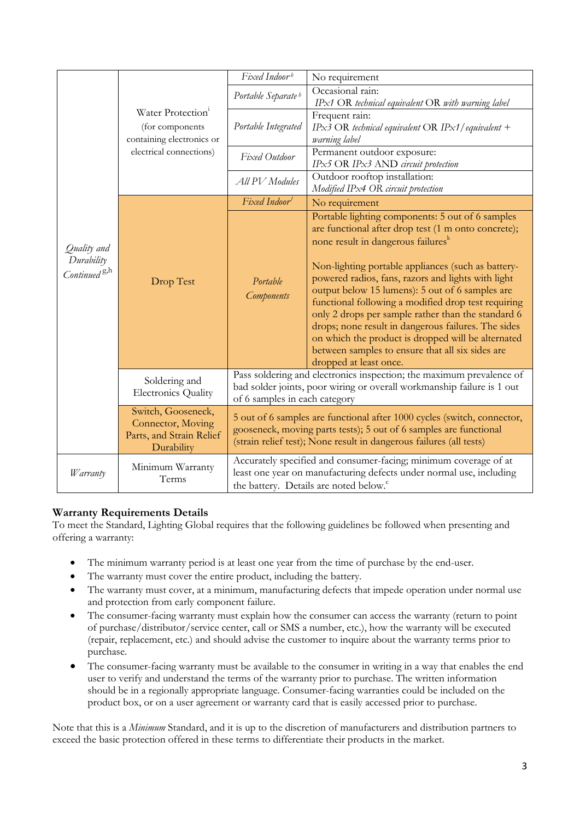|                                                       | Water Protection <sup>1</sup><br>(for components<br>containing electronics or<br>electrical connections) | Fixed Indoorb                                                                                                                                                                                                       | No requirement                                                                                                                                                                                                                                                                                                                                                                                                                                                                                                                                                                                                                   |  |
|-------------------------------------------------------|----------------------------------------------------------------------------------------------------------|---------------------------------------------------------------------------------------------------------------------------------------------------------------------------------------------------------------------|----------------------------------------------------------------------------------------------------------------------------------------------------------------------------------------------------------------------------------------------------------------------------------------------------------------------------------------------------------------------------------------------------------------------------------------------------------------------------------------------------------------------------------------------------------------------------------------------------------------------------------|--|
|                                                       |                                                                                                          | Occasional rain:<br>Portable Separate <sup>b</sup><br>$IPx1$ OR technical equivalent OR with warning label                                                                                                          |                                                                                                                                                                                                                                                                                                                                                                                                                                                                                                                                                                                                                                  |  |
|                                                       |                                                                                                          | Portable Integrated                                                                                                                                                                                                 | Frequent rain:<br>IPx3 OR technical equivalent OR IPx1/equivalent +<br>warning label                                                                                                                                                                                                                                                                                                                                                                                                                                                                                                                                             |  |
|                                                       |                                                                                                          | Fixed Outdoor                                                                                                                                                                                                       | Permanent outdoor exposure:<br>IPx5 OR IPx3 AND circuit protection                                                                                                                                                                                                                                                                                                                                                                                                                                                                                                                                                               |  |
|                                                       |                                                                                                          | All PV Modules                                                                                                                                                                                                      | Outdoor rooftop installation:<br>Modified IPx4 OR circuit protection                                                                                                                                                                                                                                                                                                                                                                                                                                                                                                                                                             |  |
|                                                       |                                                                                                          | Fixed Indoor                                                                                                                                                                                                        | No requirement                                                                                                                                                                                                                                                                                                                                                                                                                                                                                                                                                                                                                   |  |
| Quality and<br>Durability<br>Continued <sup>g,h</sup> | Drop Test                                                                                                | Portable<br><b>Components</b>                                                                                                                                                                                       | Portable lighting components: 5 out of 6 samples<br>are functional after drop test (1 m onto concrete);<br>none result in dangerous failures <sup>k</sup><br>Non-lighting portable appliances (such as battery-<br>powered radios, fans, razors and lights with light<br>output below 15 lumens): 5 out of 6 samples are<br>functional following a modified drop test requiring<br>only 2 drops per sample rather than the standard 6<br>drops; none result in dangerous failures. The sides<br>on which the product is dropped will be alternated<br>between samples to ensure that all six sides are<br>dropped at least once. |  |
|                                                       | Soldering and<br><b>Electronics Quality</b>                                                              | Pass soldering and electronics inspection; the maximum prevalence of<br>bad solder joints, poor wiring or overall workmanship failure is 1 out<br>of 6 samples in each category                                     |                                                                                                                                                                                                                                                                                                                                                                                                                                                                                                                                                                                                                                  |  |
|                                                       | Switch, Gooseneck,<br>Connector, Moving<br>Parts, and Strain Relief<br>Durability                        | 5 out of 6 samples are functional after 1000 cycles (switch, connector,<br>gooseneck, moving parts tests); 5 out of 6 samples are functional<br>(strain relief test); None result in dangerous failures (all tests) |                                                                                                                                                                                                                                                                                                                                                                                                                                                                                                                                                                                                                                  |  |
| <i>W</i> arranty                                      | Minimum Warranty<br>Terms                                                                                | Accurately specified and consumer-facing; minimum coverage of at<br>least one year on manufacturing defects under normal use, including<br>the battery. Details are noted below. <sup>c</sup>                       |                                                                                                                                                                                                                                                                                                                                                                                                                                                                                                                                                                                                                                  |  |

## **Warranty Requirements Details**

To meet the Standard, Lighting Global requires that the following guidelines be followed when presenting and offering a warranty:

- The minimum warranty period is at least one year from the time of purchase by the end-user.
- The warranty must cover the entire product, including the battery.
- The warranty must cover, at a minimum, manufacturing defects that impede operation under normal use and protection from early component failure.
- The consumer-facing warranty must explain how the consumer can access the warranty (return to point of purchase/distributor/service center, call or SMS a number, etc.), how the warranty will be executed (repair, replacement, etc.) and should advise the customer to inquire about the warranty terms prior to purchase.
- The consumer-facing warranty must be available to the consumer in writing in a way that enables the end user to verify and understand the terms of the warranty prior to purchase. The written information should be in a regionally appropriate language. Consumer-facing warranties could be included on the product box, or on a user agreement or warranty card that is easily accessed prior to purchase.

Note that this is a *Minimum* Standard, and it is up to the discretion of manufacturers and distribution partners to exceed the basic protection offered in these terms to differentiate their products in the market.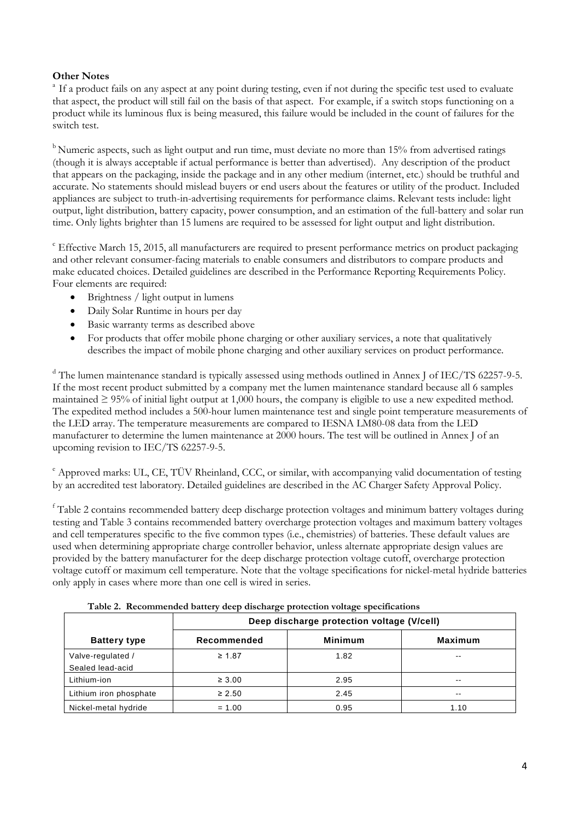## **Other Notes**

<sup>a</sup> If a product fails on any aspect at any point during testing, even if not during the specific test used to evaluate that aspect, the product will still fail on the basis of that aspect. For example, if a switch stops functioning on a product while its luminous flux is being measured, this failure would be included in the count of failures for the switch test.

<sup>b</sup> Numeric aspects, such as light output and run time, must deviate no more than 15% from advertised ratings (though it is always acceptable if actual performance is better than advertised). Any description of the product that appears on the packaging, inside the package and in any other medium (internet, etc.) should be truthful and accurate. No statements should mislead buyers or end users about the features or utility of the product. Included appliances are subject to truth-in-advertising requirements for performance claims. Relevant tests include: light output, light distribution, battery capacity, power consumption, and an estimation of the full-battery and solar run time. Only lights brighter than 15 lumens are required to be assessed for light output and light distribution.

<sup>c</sup> Effective March 15, 2015, all manufacturers are required to present performance metrics on product packaging and other relevant consumer-facing materials to enable consumers and distributors to compare products and make educated choices. Detailed guidelines are described in the Performance Reporting Requirements Policy. Four elements are required:

- Brightness / light output in lumens
- Daily Solar Runtime in hours per day
- Basic warranty terms as described above
- For products that offer mobile phone charging or other auxiliary services, a note that qualitatively describes the impact of mobile phone charging and other auxiliary services on product performance.

<sup>d</sup> The lumen maintenance standard is typically assessed using methods outlined in Annex J of IEC/TS 62257-9-5. If the most recent product submitted by a company met the lumen maintenance standard because all 6 samples maintained  $\geq 95\%$  of initial light output at 1,000 hours, the company is eligible to use a new expedited method. The expedited method includes a 500-hour lumen maintenance test and single point temperature measurements of the LED array. The temperature measurements are compared to IESNA LM80-08 data from the LED manufacturer to determine the lumen maintenance at 2000 hours. The test will be outlined in Annex J of an upcoming revision to IEC/TS 62257-9-5.

<sup>e</sup> Approved marks: UL, CE, TÜV Rheinland, CCC, or similar, with accompanying valid documentation of testing by an accredited test laboratory. Detailed guidelines are described in the AC Charger Safety Approval Policy.

<sup>f</sup> Table 2 contains recommended battery deep discharge protection voltages and minimum battery voltages during testing and Table 3 contains recommended battery overcharge protection voltages and maximum battery voltages and cell temperatures specific to the five common types (i.e., chemistries) of batteries. These default values are used when determining appropriate charge controller behavior, unless alternate appropriate design values are provided by the battery manufacturer for the deep discharge protection voltage cutoff, overcharge protection voltage cutoff or maximum cell temperature. Note that the voltage specifications for nickel-metal hydride batteries only apply in cases where more than one cell is wired in series.

|                                       | Deep discharge protection voltage (V/cell) |                |                |  |
|---------------------------------------|--------------------------------------------|----------------|----------------|--|
| <b>Battery type</b>                   | Recommended                                | <b>Minimum</b> | <b>Maximum</b> |  |
| Valve-regulated /<br>Sealed lead-acid | $\geq 1.87$                                | 1.82           | --             |  |
| Lithium-ion                           | $\geq 3.00$                                | 2.95           | --             |  |
| Lithium iron phosphate                | $\geq 2.50$                                | 2.45           | $- -$          |  |
| Nickel-metal hydride                  | $= 1.00$                                   | 0.95           | 1.10           |  |

**Table 2. Recommended battery deep discharge protection voltage specifications**